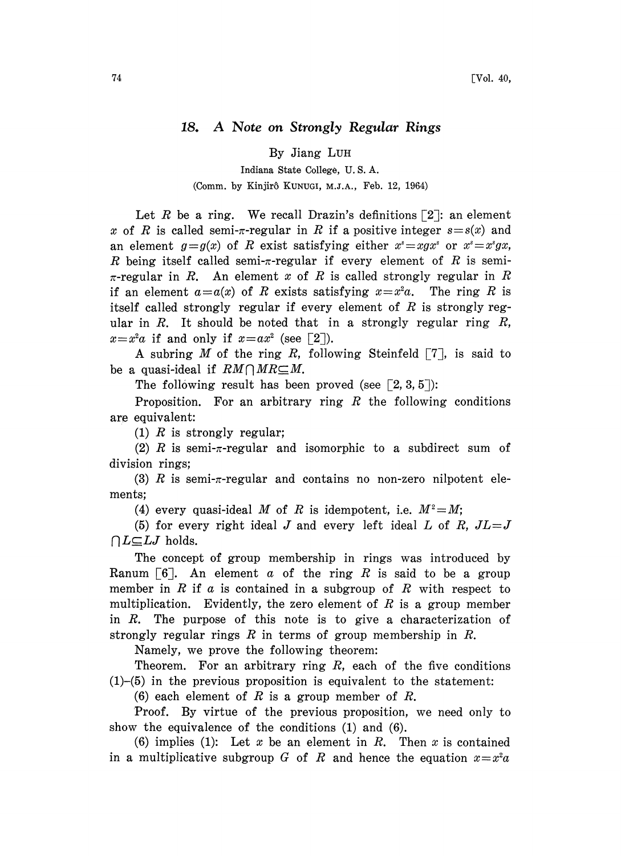## 18. A Note on Strongly Regular Rings

By Jiang LUH

Indiana State College, U. S. A. (Comm. by Kinjirô KUNUGI, M.J.A., Feb. 12, 1964)

Let R be a ring. We recall Drazin's definitions  $\lceil 2 \rceil$ : an element x of R is called semi- $\pi$ -regular in R if a positive integer  $s=s(x)$  and an element  $g = g(x)$  of R exist satisfying either  $x^* = xgx^*$  or  $x^* = x^*gx$ , R being itself called semi- $\pi$ -regular if every element of R is semi- $\pi$ -regular in R. An element x of R is called strongly regular in R if an element  $a=a(x)$  of R exists satisfying  $x=x^2a$ . The ring R is itself called strongly regular if every element of  $R$  is strongly regular in R. It should be noted that in a strongly regular ring  $R$ ,  $x=x^2a$  if and only if  $x=ax^2$  (see [2]).

A subring M of the ring R, following Steinfeld  $\lceil 7 \rceil$ , is said to be a quasi-ideal if  $RM \cap MR \subseteq M$ .

The following result has been proved (see  $\lceil 2, 3, 5 \rceil$ ):

Proposition. For an arbitrary ring  $R$  the following conditions are equivalent:

(1)  $R$  is strongly regular;

(2) R is semi- $\pi$ -regular and isomorphic to a subdirect sum of division rings;

(3) R is semi- $\pi$ -regular and contains no non-zero nilpotent elements;

(4) every quasi-ideal M of R is idempotent, i.e.  $M^2 = M$ ;

(5) for every right ideal J and every left ideal L of R,  $JL=J$  $\bigcap L\subseteq LJ$  holds.

The concept of group membership in rings was introduced by Ranum  $[6]$ . An element a of the ring R is said to be a group member in  $R$  if  $\alpha$  is contained in a subgroup of  $R$  with respect to multiplication. Evidently, the zero element of  $R$  is a group member in R. The purpose of this note is to give a characterization of strongly regular rings R in terms of group membership in R.

Namely, we prove the following theorem:

Theorem. For an arbitrary ring  $R$ , each of the five conditions  $(1)$ - $(5)$  in the previous proposition is equivalent to the statement:

(6) each element of R is a group member of R.

Proof. By virtue of the previous proposition, we need only to show the equivalence of the conditions (1) and (6).

(6) implies (1): Let x be an element in R. Then x is contained in a multiplicative subgroup G of R and hence the equation  $x=x^2a$